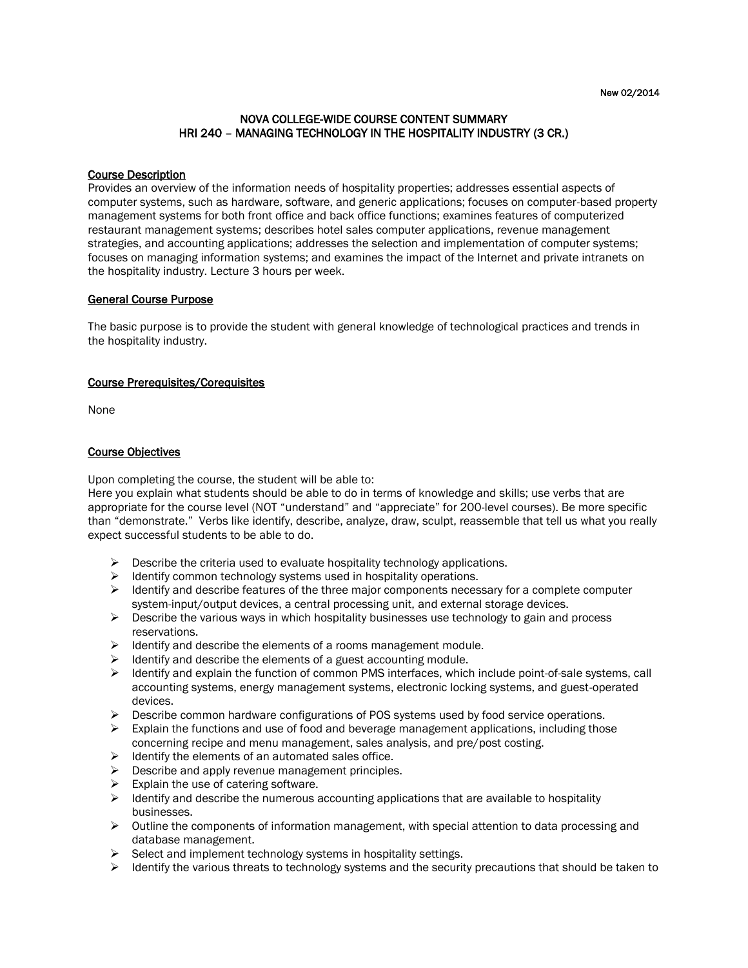# NOVA COLLEGE-WIDE COURSE CONTENT SUMMARY HRI 240 – MANAGING TECHNOLOGY IN THE HOSPITALITY INDUSTRY (3 CR.)

#### Course Description

Provides an overview of the information needs of hospitality properties; addresses essential aspects of computer systems, such as hardware, software, and generic applications; focuses on computer-based property management systems for both front office and back office functions; examines features of computerized restaurant management systems; describes hotel sales computer applications, revenue management strategies, and accounting applications; addresses the selection and implementation of computer systems; focuses on managing information systems; and examines the impact of the Internet and private intranets on the hospitality industry. Lecture 3 hours per week.

#### General Course Purpose

The basic purpose is to provide the student with general knowledge of technological practices and trends in the hospitality industry.

# Course Prerequisites/Corequisites

None

#### Course Objectives

Upon completing the course, the student will be able to:

Here you explain what students should be able to do in terms of knowledge and skills; use verbs that are appropriate for the course level (NOT "understand" and "appreciate" for 200-level courses). Be more specific than "demonstrate." Verbs like identify, describe, analyze, draw, sculpt, reassemble that tell us what you really expect successful students to be able to do.

- $\triangleright$  Describe the criteria used to evaluate hospitality technology applications.
- $\triangleright$  Identify common technology systems used in hospitality operations.
- $\triangleright$  Identify and describe features of the three major components necessary for a complete computer system-input/output devices, a central processing unit, and external storage devices.
- $\triangleright$  Describe the various ways in which hospitality businesses use technology to gain and process reservations.
- $\triangleright$  Identify and describe the elements of a rooms management module.
- $\triangleright$  Identify and describe the elements of a guest accounting module.
- $\triangleright$  Identify and explain the function of common PMS interfaces, which include point-of-sale systems, call accounting systems, energy management systems, electronic locking systems, and guest-operated devices.
- $\triangleright$  Describe common hardware configurations of POS systems used by food service operations.
- $\triangleright$  Explain the functions and use of food and beverage management applications, including those concerning recipe and menu management, sales analysis, and pre/post costing.
- $\triangleright$  Identify the elements of an automated sales office.
- $\triangleright$  Describe and apply revenue management principles.
- $\triangleright$  Explain the use of catering software.
- $\triangleright$  Identify and describe the numerous accounting applications that are available to hospitality businesses.
- $\triangleright$  Outline the components of information management, with special attention to data processing and database management.
- $\triangleright$  Select and implement technology systems in hospitality settings.
- $\triangleright$  Identify the various threats to technology systems and the security precautions that should be taken to